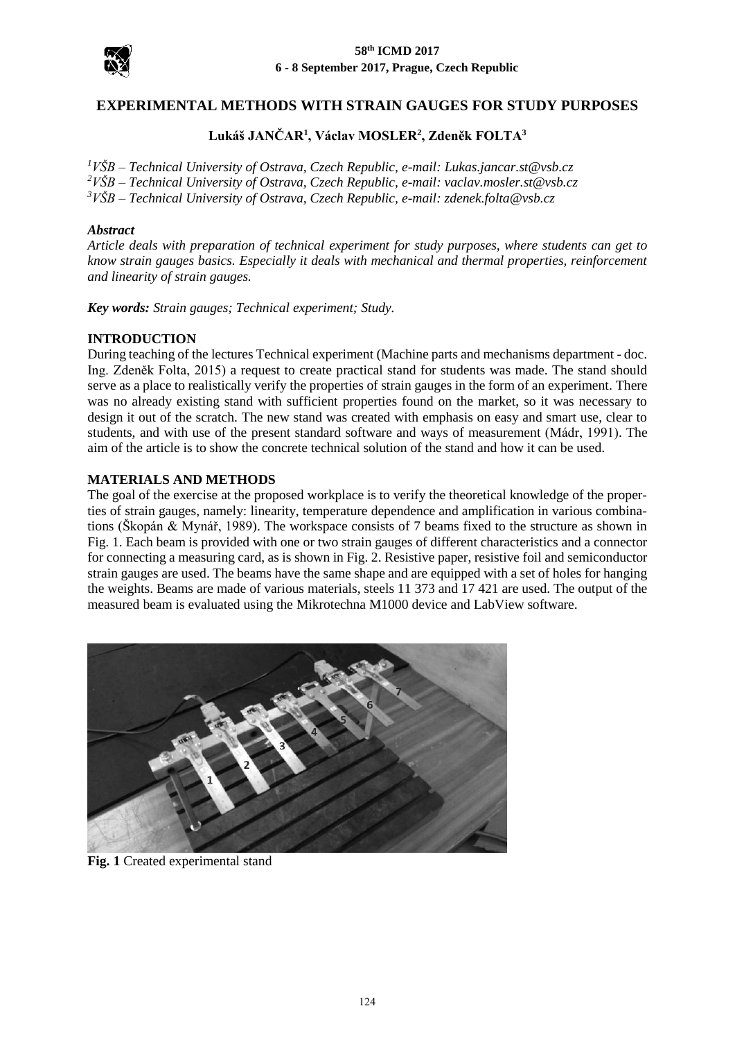

#### **58th ICMD 2017 6 - 8 September 2017, Prague, Czech Republic**

# **EXPERIMENTAL METHODS WITH STRAIN GAUGES FOR STUDY PURPOSES**

# **Lukáš JANČAR<sup>1</sup> , Václav MOSLER<sup>2</sup> , Zdeněk FOLTA<sup>3</sup>**

*<sup>1</sup>VŠB – Technical University of Ostrava, Czech Republic, e-mail: Lukas.jancar.st@vsb.cz <sup>2</sup>VŠB – Technical University of Ostrava, Czech Republic, e-mail: vaclav.mosler.st@vsb.cz <sup>3</sup>VŠB – Technical University of Ostrava, Czech Republic, e-mail: zdenek.folta@vsb.cz*

### *Abstract*

*Article deals with preparation of technical experiment for study purposes, where students can get to know strain gauges basics. Especially it deals with mechanical and thermal properties, reinforcement and linearity of strain gauges.*

*Key words: Strain gauges; Technical experiment; Study.*

### **INTRODUCTION**

During teaching of the lectures Technical experiment (Machine parts and mechanisms department - doc. Ing. Zdeněk Folta, 2015) a request to create practical stand for students was made. The stand should serve as a place to realistically verify the properties of strain gauges in the form of an experiment. There was no already existing stand with sufficient properties found on the market, so it was necessary to design it out of the scratch. The new stand was created with emphasis on easy and smart use, clear to students, and with use of the present standard software and ways of measurement (Mádr, 1991). The aim of the article is to show the concrete technical solution of the stand and how it can be used.

### **MATERIALS AND METHODS**

The goal of the exercise at the proposed workplace is to verify the theoretical knowledge of the properties of strain gauges, namely: linearity, temperature dependence and amplification in various combinations (Škopán & Mynář, 1989). The workspace consists of 7 beams fixed to the structure as shown in Fig. 1. Each beam is provided with one or two strain gauges of different characteristics and a connector for connecting a measuring card, as is shown in Fig. 2. Resistive paper, resistive foil and semiconductor strain gauges are used. The beams have the same shape and are equipped with a set of holes for hanging the weights. Beams are made of various materials, steels 11 373 and 17 421 are used. The output of the measured beam is evaluated using the Mikrotechna M1000 device and LabView software.



**Fig. 1** Created experimental stand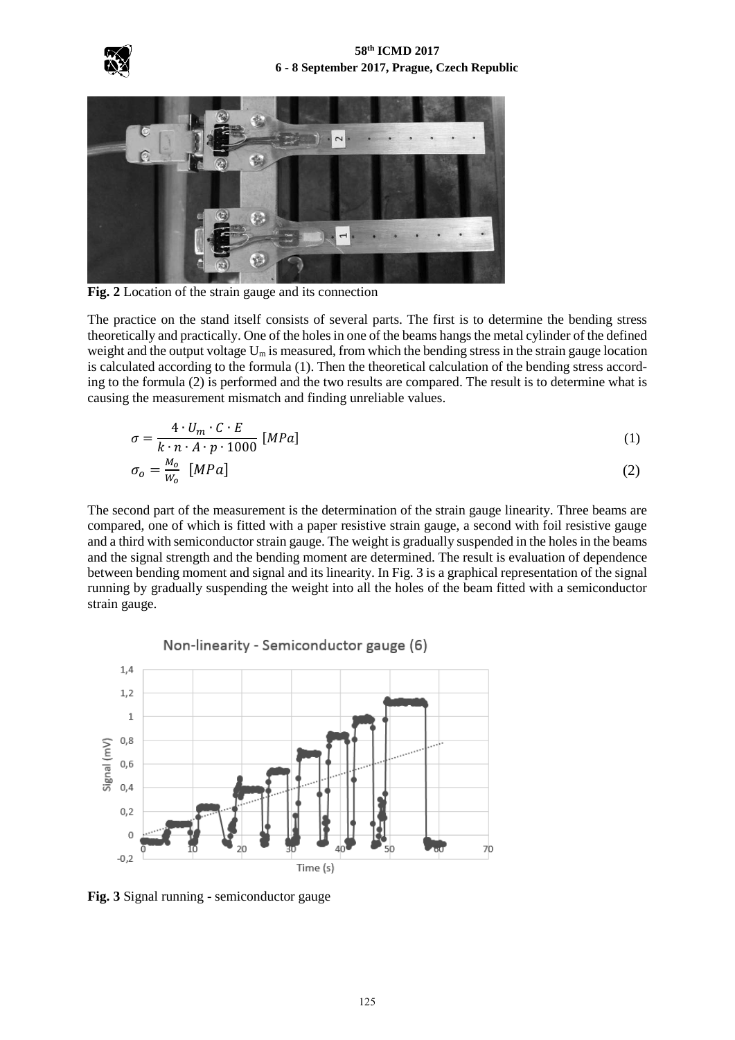



**Fig. 2** Location of the strain gauge and its connection

The practice on the stand itself consists of several parts. The first is to determine the bending stress theoretically and practically. One of the holes in one of the beams hangs the metal cylinder of the defined weight and the output voltage  $U_m$  is measured, from which the bending stress in the strain gauge location is calculated according to the formula (1). Then the theoretical calculation of the bending stress according to the formula (2) is performed and the two results are compared. The result is to determine what is causing the measurement mismatch and finding unreliable values.

$$
\sigma = \frac{4 \cdot U_m \cdot C \cdot E}{k \cdot n \cdot A \cdot p \cdot 1000} \,[MPa] \tag{1}
$$

$$
\sigma_o = \frac{M_o}{W_o} \quad [MPa] \tag{2}
$$

The second part of the measurement is the determination of the strain gauge linearity. Three beams are compared, one of which is fitted with a paper resistive strain gauge, a second with foil resistive gauge and a third with semiconductor strain gauge. The weight is gradually suspended in the holes in the beams and the signal strength and the bending moment are determined. The result is evaluation of dependence between bending moment and signal and its linearity. In Fig. 3 is a graphical representation of the signal running by gradually suspending the weight into all the holes of the beam fitted with a semiconductor strain gauge.



**Fig. 3** Signal running - semiconductor gauge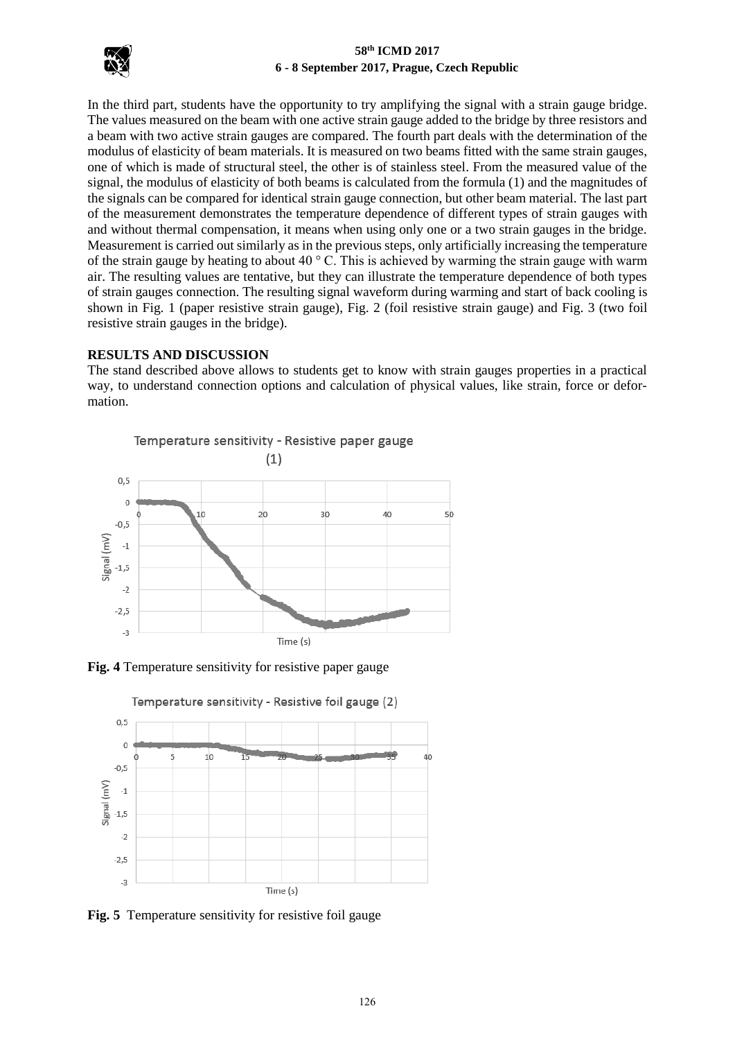

### **58th ICMD 2017 6 - 8 September 2017, Prague, Czech Republic**

In the third part, students have the opportunity to try amplifying the signal with a strain gauge bridge. The values measured on the beam with one active strain gauge added to the bridge by three resistors and a beam with two active strain gauges are compared. The fourth part deals with the determination of the modulus of elasticity of beam materials. It is measured on two beams fitted with the same strain gauges, one of which is made of structural steel, the other is of stainless steel. From the measured value of the signal, the modulus of elasticity of both beams is calculated from the formula (1) and the magnitudes of the signals can be compared for identical strain gauge connection, but other beam material. The last part of the measurement demonstrates the temperature dependence of different types of strain gauges with and without thermal compensation, it means when using only one or a two strain gauges in the bridge. Measurement is carried out similarly as in the previous steps, only artificially increasing the temperature of the strain gauge by heating to about 40  $\degree$  C. This is achieved by warming the strain gauge with warm air. The resulting values are tentative, but they can illustrate the temperature dependence of both types of strain gauges connection. The resulting signal waveform during warming and start of back cooling is shown in Fig. 1 (paper resistive strain gauge), Fig. 2 (foil resistive strain gauge) and Fig. 3 (two foil resistive strain gauges in the bridge).

### **RESULTS AND DISCUSSION**

The stand described above allows to students get to know with strain gauges properties in a practical way, to understand connection options and calculation of physical values, like strain, force or deformation.







Temperature sensitivity - Resistive foil gauge (2)

**Fig. 5** Temperature sensitivity for resistive foil gauge